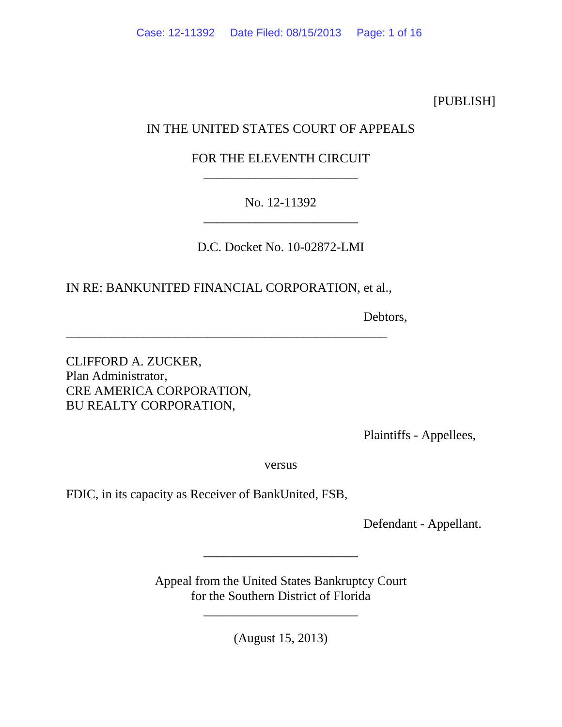[PUBLISH]

# IN THE UNITED STATES COURT OF APPEALS

# FOR THE ELEVENTH CIRCUIT \_\_\_\_\_\_\_\_\_\_\_\_\_\_\_\_\_\_\_\_\_\_\_\_

# No. 12-11392 \_\_\_\_\_\_\_\_\_\_\_\_\_\_\_\_\_\_\_\_\_\_\_\_

D.C. Docket No. 10-02872-LMI

IN RE: BANKUNITED FINANCIAL CORPORATION, et al.,

\_\_\_\_\_\_\_\_\_\_\_\_\_\_\_\_\_\_\_\_\_\_\_\_\_\_\_\_\_\_\_\_\_\_\_\_\_\_\_\_\_\_\_\_\_\_\_\_\_\_

Debtors,

CLIFFORD A. ZUCKER, Plan Administrator, CRE AMERICA CORPORATION, BU REALTY CORPORATION,

Plaintiffs - Appellees,

versus

FDIC, in its capacity as Receiver of BankUnited, FSB,

Defendant - Appellant.

Appeal from the United States Bankruptcy Court for the Southern District of Florida

\_\_\_\_\_\_\_\_\_\_\_\_\_\_\_\_\_\_\_\_\_\_\_\_

(August 15, 2013)

\_\_\_\_\_\_\_\_\_\_\_\_\_\_\_\_\_\_\_\_\_\_\_\_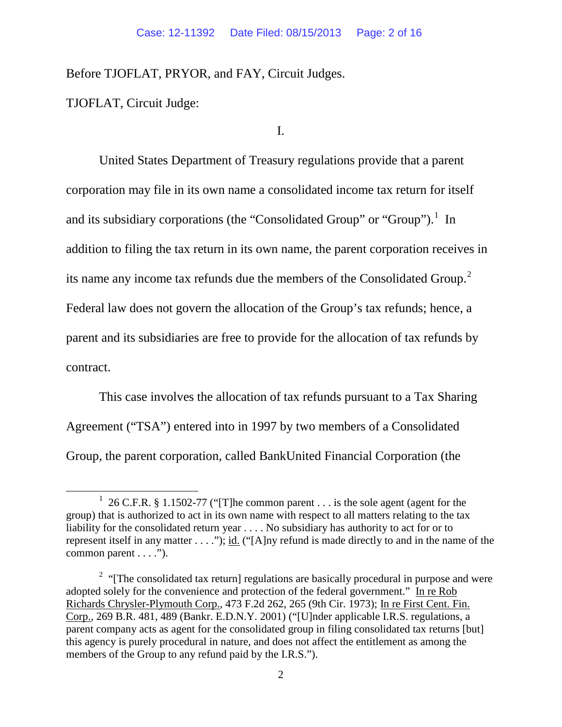Before TJOFLAT, PRYOR, and FAY, Circuit Judges.

TJOFLAT, Circuit Judge:

I.

United States Department of Treasury regulations provide that a parent corporation may file in its own name a consolidated income tax return for itself and its subsidiary corporations (the "Consolidated Group" or "Group").<sup>[1](#page-1-0)</sup> In addition to filing the tax return in its own name, the parent corporation receives in its name any income tax refunds due the members of the Consolidated Group.<sup>[2](#page-1-1)</sup> Federal law does not govern the allocation of the Group's tax refunds; hence, a parent and its subsidiaries are free to provide for the allocation of tax refunds by contract.

This case involves the allocation of tax refunds pursuant to a Tax Sharing Agreement ("TSA") entered into in 1997 by two members of a Consolidated Group, the parent corporation, called BankUnited Financial Corporation (the

<span id="page-1-0"></span><sup>&</sup>lt;u>1</u> <sup>1</sup> 26 C.F.R. § 1.1502-77 ("[T]he common parent . . . is the sole agent (agent for the group) that is authorized to act in its own name with respect to all matters relating to the tax liability for the consolidated return year . . . . No subsidiary has authority to act for or to represent itself in any matter . . . ."); id. ("[A]ny refund is made directly to and in the name of the common parent  $\dots$ .").

<span id="page-1-1"></span> $2$  "[The consolidated tax return] regulations are basically procedural in purpose and were adopted solely for the convenience and protection of the federal government." In re Rob Richards Chrysler-Plymouth Corp., 473 F.2d 262, 265 (9th Cir. 1973); In re First Cent. Fin. Corp., 269 B.R. 481, 489 (Bankr. E.D.N.Y. 2001) ("[U]nder applicable I.R.S. regulations, a parent company acts as agent for the consolidated group in filing consolidated tax returns [but] this agency is purely procedural in nature, and does not affect the entitlement as among the members of the Group to any refund paid by the I.R.S.").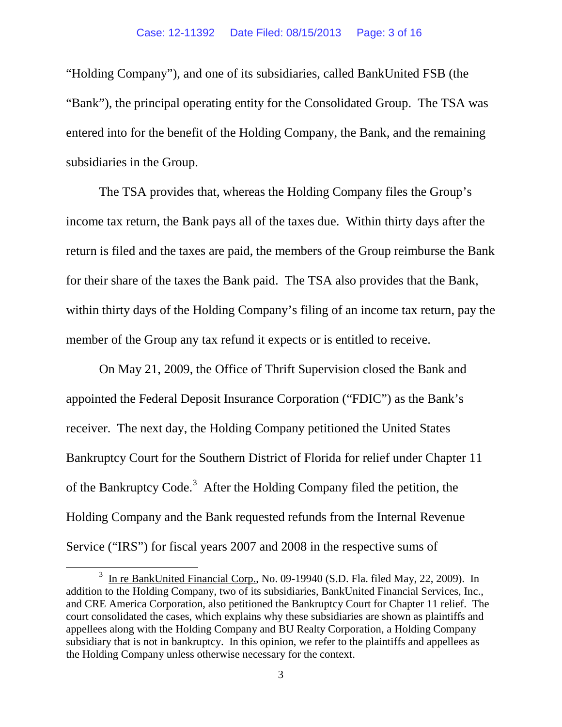"Holding Company"), and one of its subsidiaries, called BankUnited FSB (the "Bank"), the principal operating entity for the Consolidated Group. The TSA was entered into for the benefit of the Holding Company, the Bank, and the remaining subsidiaries in the Group.

The TSA provides that, whereas the Holding Company files the Group's income tax return, the Bank pays all of the taxes due. Within thirty days after the return is filed and the taxes are paid, the members of the Group reimburse the Bank for their share of the taxes the Bank paid. The TSA also provides that the Bank, within thirty days of the Holding Company's filing of an income tax return, pay the member of the Group any tax refund it expects or is entitled to receive.

On May 21, 2009, the Office of Thrift Supervision closed the Bank and appointed the Federal Deposit Insurance Corporation ("FDIC") as the Bank's receiver. The next day, the Holding Company petitioned the United States Bankruptcy Court for the Southern District of Florida for relief under Chapter 11 of the Bankruptcy Code.<sup>[3](#page-2-0)</sup> After the Holding Company filed the petition, the Holding Company and the Bank requested refunds from the Internal Revenue Service ("IRS") for fiscal years 2007 and 2008 in the respective sums of

<span id="page-2-0"></span><sup>3</sup>  $3\,$  In re BankUnited Financial Corp., No. 09-19940 (S.D. Fla. filed May, 22, 2009). In addition to the Holding Company, two of its subsidiaries, BankUnited Financial Services, Inc., and CRE America Corporation, also petitioned the Bankruptcy Court for Chapter 11 relief. The court consolidated the cases, which explains why these subsidiaries are shown as plaintiffs and appellees along with the Holding Company and BU Realty Corporation, a Holding Company subsidiary that is not in bankruptcy. In this opinion, we refer to the plaintiffs and appellees as the Holding Company unless otherwise necessary for the context.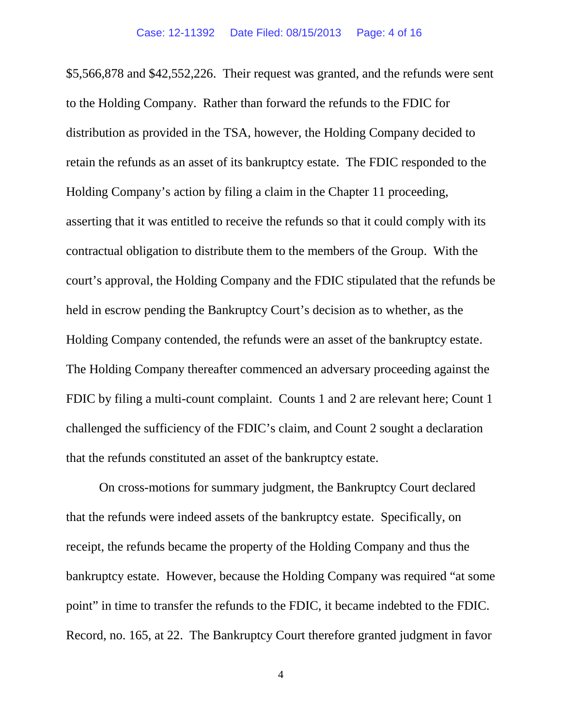\$5,566,878 and \$42,552,226. Their request was granted, and the refunds were sent to the Holding Company. Rather than forward the refunds to the FDIC for distribution as provided in the TSA, however, the Holding Company decided to retain the refunds as an asset of its bankruptcy estate. The FDIC responded to the Holding Company's action by filing a claim in the Chapter 11 proceeding, asserting that it was entitled to receive the refunds so that it could comply with its contractual obligation to distribute them to the members of the Group. With the court's approval, the Holding Company and the FDIC stipulated that the refunds be held in escrow pending the Bankruptcy Court's decision as to whether, as the Holding Company contended, the refunds were an asset of the bankruptcy estate. The Holding Company thereafter commenced an adversary proceeding against the FDIC by filing a multi-count complaint. Counts 1 and 2 are relevant here; Count 1 challenged the sufficiency of the FDIC's claim, and Count 2 sought a declaration that the refunds constituted an asset of the bankruptcy estate.

On cross-motions for summary judgment, the Bankruptcy Court declared that the refunds were indeed assets of the bankruptcy estate. Specifically, on receipt, the refunds became the property of the Holding Company and thus the bankruptcy estate. However, because the Holding Company was required "at some point" in time to transfer the refunds to the FDIC, it became indebted to the FDIC. Record, no. 165, at 22. The Bankruptcy Court therefore granted judgment in favor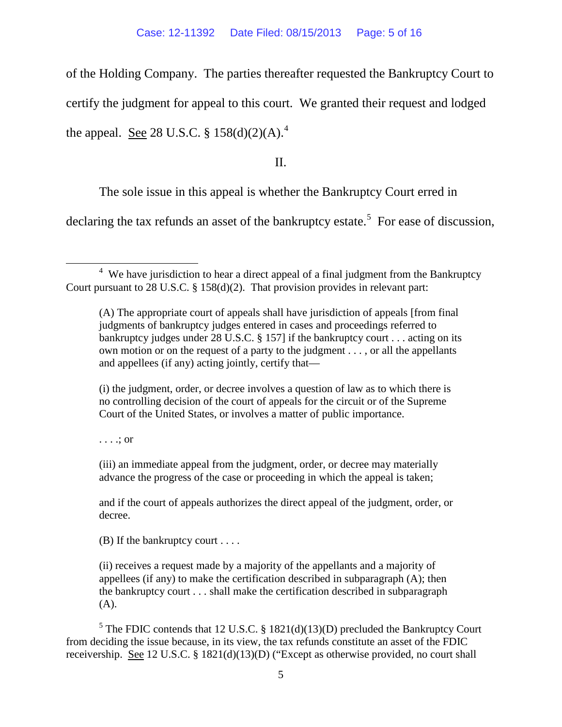of the Holding Company. The parties thereafter requested the Bankruptcy Court to

certify the judgment for appeal to this court. We granted their request and lodged

the appeal. See 28 U.S.C. § 158(d)(2)(A).<sup>[4](#page-4-0)</sup>

II.

The sole issue in this appeal is whether the Bankruptcy Court erred in

declaring the tax refunds an asset of the bankruptcy estate.<sup>[5](#page-4-1)</sup> For ease of discussion,

(i) the judgment, order, or decree involves a question of law as to which there is no controlling decision of the court of appeals for the circuit or of the Supreme Court of the United States, or involves a matter of public importance.

. . . .; or

(iii) an immediate appeal from the judgment, order, or decree may materially advance the progress of the case or proceeding in which the appeal is taken;

and if the court of appeals authorizes the direct appeal of the judgment, order, or decree.

(B) If the bankruptcy court  $\dots$ .

(ii) receives a request made by a majority of the appellants and a majority of appellees (if any) to make the certification described in subparagraph (A); then the bankruptcy court . . . shall make the certification described in subparagraph (A).

<span id="page-4-1"></span> $<sup>5</sup>$  The FDIC contends that 12 U.S.C. § 1821(d)(13)(D) precluded the Bankruptcy Court</sup> from deciding the issue because, in its view, the tax refunds constitute an asset of the FDIC receivership. See 12 U.S.C. § 1821(d)(13)(D) ("Except as otherwise provided, no court shall

<span id="page-4-0"></span><sup>4</sup>  $4\,$  We have jurisdiction to hear a direct appeal of a final judgment from the Bankruptcy Court pursuant to 28 U.S.C. § 158(d)(2). That provision provides in relevant part:

<sup>(</sup>A) The appropriate court of appeals shall have jurisdiction of appeals [from final judgments of bankruptcy judges entered in cases and proceedings referred to bankruptcy judges under 28 U.S.C. § 157] if the bankruptcy court . . . acting on its own motion or on the request of a party to the judgment . . . , or all the appellants and appellees (if any) acting jointly, certify that—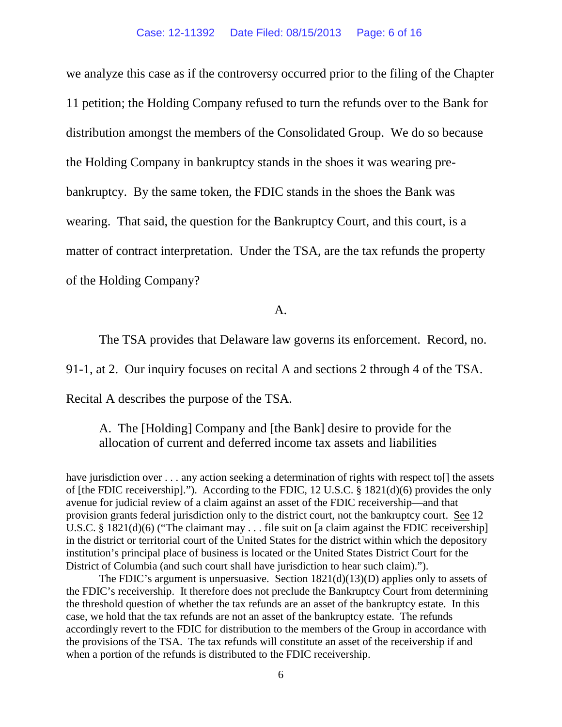we analyze this case as if the controversy occurred prior to the filing of the Chapter 11 petition; the Holding Company refused to turn the refunds over to the Bank for distribution amongst the members of the Consolidated Group. We do so because the Holding Company in bankruptcy stands in the shoes it was wearing prebankruptcy. By the same token, the FDIC stands in the shoes the Bank was wearing. That said, the question for the Bankruptcy Court, and this court, is a matter of contract interpretation. Under the TSA, are the tax refunds the property of the Holding Company?

 $A<sub>1</sub>$ 

The TSA provides that Delaware law governs its enforcement. Record, no.

91-1, at 2. Our inquiry focuses on recital A and sections 2 through 4 of the TSA.

Recital A describes the purpose of the TSA.

A. The [Holding] Company and [the Bank] desire to provide for the allocation of current and deferred income tax assets and liabilities

i<br>I have jurisdiction over . . . any action seeking a determination of rights with respect to[] the assets of [the FDIC receivership]."). According to the FDIC, 12 U.S.C. § 1821(d)(6) provides the only avenue for judicial review of a claim against an asset of the FDIC receivership—and that provision grants federal jurisdiction only to the district court, not the bankruptcy court. See 12 U.S.C. § 1821(d)(6) ("The claimant may . . . file suit on [a claim against the FDIC receivership] in the district or territorial court of the United States for the district within which the depository institution's principal place of business is located or the United States District Court for the District of Columbia (and such court shall have jurisdiction to hear such claim).").

The FDIC's argument is unpersuasive. Section 1821(d)(13)(D) applies only to assets of the FDIC's receivership. It therefore does not preclude the Bankruptcy Court from determining the threshold question of whether the tax refunds are an asset of the bankruptcy estate. In this case, we hold that the tax refunds are not an asset of the bankruptcy estate. The refunds accordingly revert to the FDIC for distribution to the members of the Group in accordance with the provisions of the TSA. The tax refunds will constitute an asset of the receivership if and when a portion of the refunds is distributed to the FDIC receivership.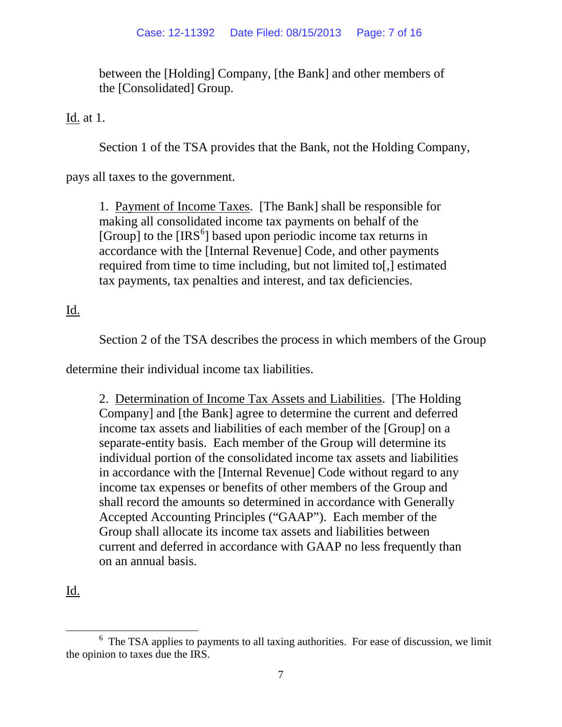between the [Holding] Company, [the Bank] and other members of the [Consolidated] Group.

Id. at 1.

Section 1 of the TSA provides that the Bank, not the Holding Company,

pays all taxes to the government.

1. Payment of Income Taxes. [The Bank] shall be responsible for making all consolidated income tax payments on behalf of the [Group] to the  $[IRS^6]$  $[IRS^6]$  $[IRS^6]$  based upon periodic income tax returns in accordance with the [Internal Revenue] Code, and other payments required from time to time including, but not limited to[,] estimated tax payments, tax penalties and interest, and tax deficiencies.

# Id.

Section 2 of the TSA describes the process in which members of the Group

determine their individual income tax liabilities.

2. Determination of Income Tax Assets and Liabilities. [The Holding Company] and [the Bank] agree to determine the current and deferred income tax assets and liabilities of each member of the [Group] on a separate-entity basis. Each member of the Group will determine its individual portion of the consolidated income tax assets and liabilities in accordance with the [Internal Revenue] Code without regard to any income tax expenses or benefits of other members of the Group and shall record the amounts so determined in accordance with Generally Accepted Accounting Principles ("GAAP"). Each member of the Group shall allocate its income tax assets and liabilities between current and deferred in accordance with GAAP no less frequently than on an annual basis.

Id.

<span id="page-6-0"></span><sup>6</sup>  $6\text{ The TSA applies to payments to all taking authorities. For ease of discussion, we limit}$ the opinion to taxes due the IRS.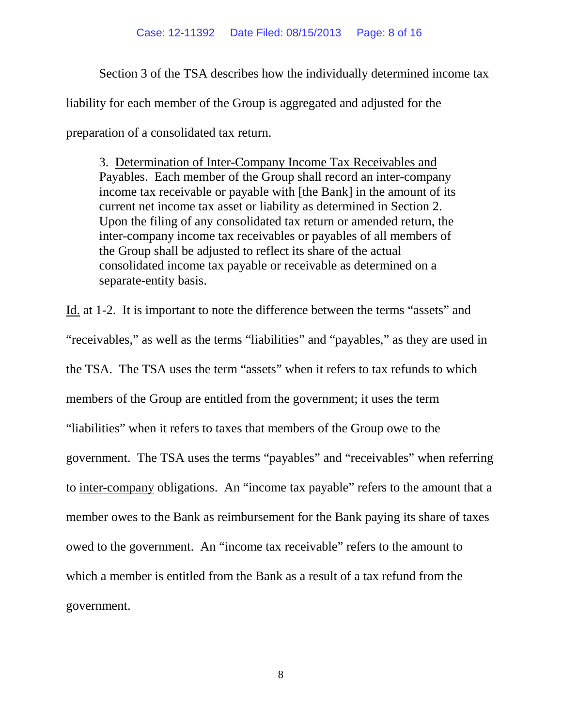Section 3 of the TSA describes how the individually determined income tax

liability for each member of the Group is aggregated and adjusted for the

preparation of a consolidated tax return.

3. Determination of Inter-Company Income Tax Receivables and Payables. Each member of the Group shall record an inter-company income tax receivable or payable with [the Bank] in the amount of its current net income tax asset or liability as determined in Section 2. Upon the filing of any consolidated tax return or amended return, the inter-company income tax receivables or payables of all members of the Group shall be adjusted to reflect its share of the actual consolidated income tax payable or receivable as determined on a separate-entity basis.

Id. at 1-2. It is important to note the difference between the terms "assets" and "receivables," as well as the terms "liabilities" and "payables," as they are used in the TSA. The TSA uses the term "assets" when it refers to tax refunds to which members of the Group are entitled from the government; it uses the term "liabilities" when it refers to taxes that members of the Group owe to the government. The TSA uses the terms "payables" and "receivables" when referring to inter-company obligations. An "income tax payable" refers to the amount that a member owes to the Bank as reimbursement for the Bank paying its share of taxes owed to the government. An "income tax receivable" refers to the amount to which a member is entitled from the Bank as a result of a tax refund from the government.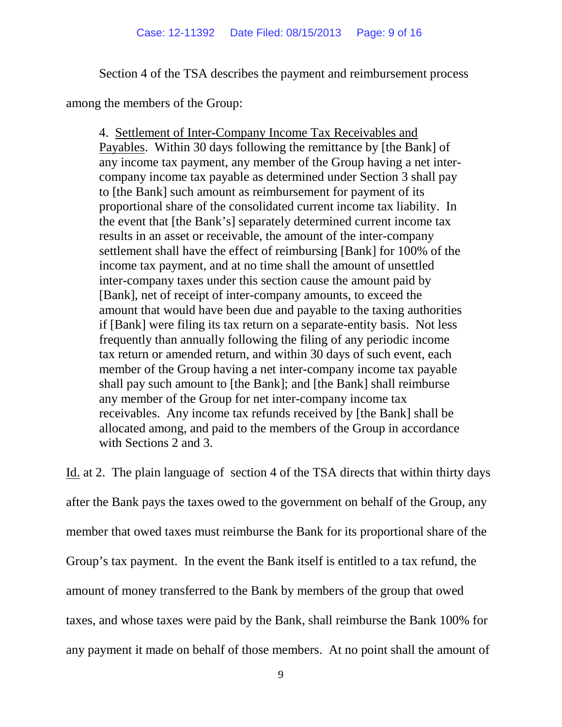Section 4 of the TSA describes the payment and reimbursement process

among the members of the Group:

4. Settlement of Inter-Company Income Tax Receivables and Payables. Within 30 days following the remittance by [the Bank] of any income tax payment, any member of the Group having a net intercompany income tax payable as determined under Section 3 shall pay to [the Bank] such amount as reimbursement for payment of its proportional share of the consolidated current income tax liability. In the event that [the Bank's] separately determined current income tax results in an asset or receivable, the amount of the inter-company settlement shall have the effect of reimbursing [Bank] for 100% of the income tax payment, and at no time shall the amount of unsettled inter-company taxes under this section cause the amount paid by [Bank], net of receipt of inter-company amounts, to exceed the amount that would have been due and payable to the taxing authorities if [Bank] were filing its tax return on a separate-entity basis. Not less frequently than annually following the filing of any periodic income tax return or amended return, and within 30 days of such event, each member of the Group having a net inter-company income tax payable shall pay such amount to [the Bank]; and [the Bank] shall reimburse any member of the Group for net inter-company income tax receivables. Any income tax refunds received by [the Bank] shall be allocated among, and paid to the members of the Group in accordance with Sections 2 and 3.

Id. at 2. The plain language of section 4 of the TSA directs that within thirty days after the Bank pays the taxes owed to the government on behalf of the Group, any member that owed taxes must reimburse the Bank for its proportional share of the Group's tax payment. In the event the Bank itself is entitled to a tax refund, the amount of money transferred to the Bank by members of the group that owed taxes, and whose taxes were paid by the Bank, shall reimburse the Bank 100% for any payment it made on behalf of those members. At no point shall the amount of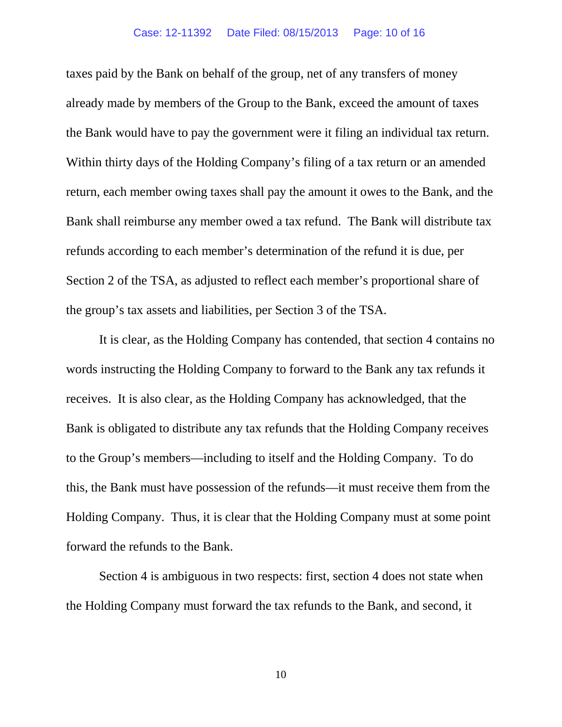#### Case: 12-11392 Date Filed: 08/15/2013 Page: 10 of 16

taxes paid by the Bank on behalf of the group, net of any transfers of money already made by members of the Group to the Bank, exceed the amount of taxes the Bank would have to pay the government were it filing an individual tax return. Within thirty days of the Holding Company's filing of a tax return or an amended return, each member owing taxes shall pay the amount it owes to the Bank, and the Bank shall reimburse any member owed a tax refund. The Bank will distribute tax refunds according to each member's determination of the refund it is due, per Section 2 of the TSA, as adjusted to reflect each member's proportional share of the group's tax assets and liabilities, per Section 3 of the TSA.

It is clear, as the Holding Company has contended, that section 4 contains no words instructing the Holding Company to forward to the Bank any tax refunds it receives. It is also clear, as the Holding Company has acknowledged, that the Bank is obligated to distribute any tax refunds that the Holding Company receives to the Group's members—including to itself and the Holding Company. To do this, the Bank must have possession of the refunds—it must receive them from the Holding Company. Thus, it is clear that the Holding Company must at some point forward the refunds to the Bank.

Section 4 is ambiguous in two respects: first, section 4 does not state when the Holding Company must forward the tax refunds to the Bank, and second, it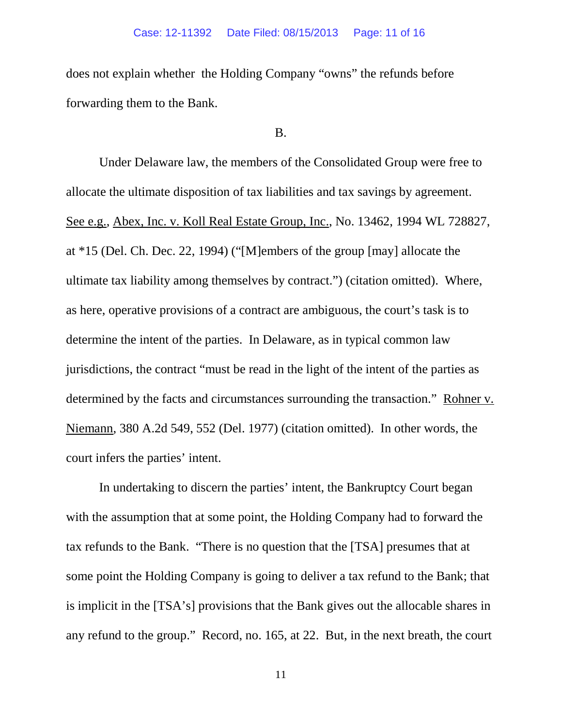does not explain whether the Holding Company "owns" the refunds before forwarding them to the Bank.

### B.

Under Delaware law, the members of the Consolidated Group were free to allocate the ultimate disposition of tax liabilities and tax savings by agreement. See e.g., Abex, Inc. v. Koll Real Estate Group, Inc., No. 13462, 1994 WL 728827, at \*15 (Del. Ch. Dec. 22, 1994) ("[M]embers of the group [may] allocate the ultimate tax liability among themselves by contract.") (citation omitted). Where, as here, operative provisions of a contract are ambiguous, the court's task is to determine the intent of the parties. In Delaware, as in typical common law jurisdictions, the contract "must be read in the light of the intent of the parties as determined by the facts and circumstances surrounding the transaction." Rohner v. Niemann, 380 A.2d 549, 552 (Del. 1977) (citation omitted). In other words, the court infers the parties' intent.

In undertaking to discern the parties' intent, the Bankruptcy Court began with the assumption that at some point, the Holding Company had to forward the tax refunds to the Bank. "There is no question that the [TSA] presumes that at some point the Holding Company is going to deliver a tax refund to the Bank; that is implicit in the [TSA's] provisions that the Bank gives out the allocable shares in any refund to the group." Record, no. 165, at 22. But, in the next breath, the court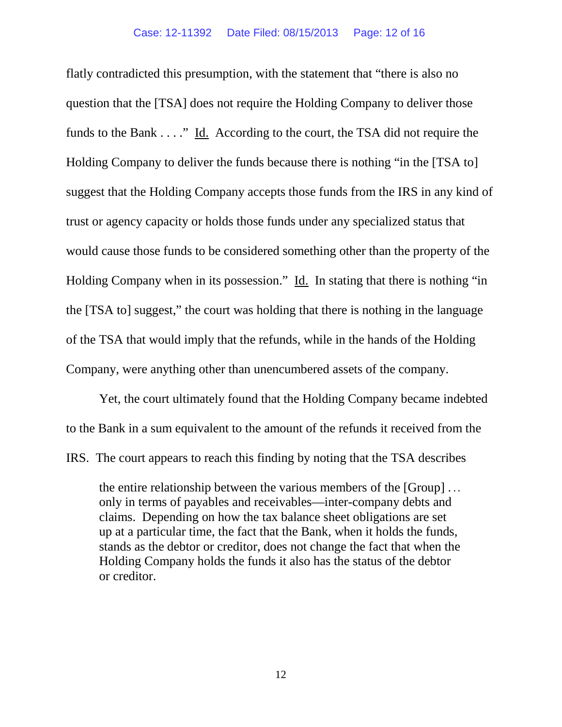flatly contradicted this presumption, with the statement that "there is also no question that the [TSA] does not require the Holding Company to deliver those funds to the Bank . . . ." Id. According to the court, the TSA did not require the Holding Company to deliver the funds because there is nothing "in the [TSA to] suggest that the Holding Company accepts those funds from the IRS in any kind of trust or agency capacity or holds those funds under any specialized status that would cause those funds to be considered something other than the property of the Holding Company when in its possession." Id. In stating that there is nothing "in the [TSA to] suggest," the court was holding that there is nothing in the language of the TSA that would imply that the refunds, while in the hands of the Holding Company, were anything other than unencumbered assets of the company.

Yet, the court ultimately found that the Holding Company became indebted to the Bank in a sum equivalent to the amount of the refunds it received from the IRS. The court appears to reach this finding by noting that the TSA describes

the entire relationship between the various members of the [Group] . . . only in terms of payables and receivables—inter-company debts and claims. Depending on how the tax balance sheet obligations are set up at a particular time, the fact that the Bank, when it holds the funds, stands as the debtor or creditor, does not change the fact that when the Holding Company holds the funds it also has the status of the debtor or creditor.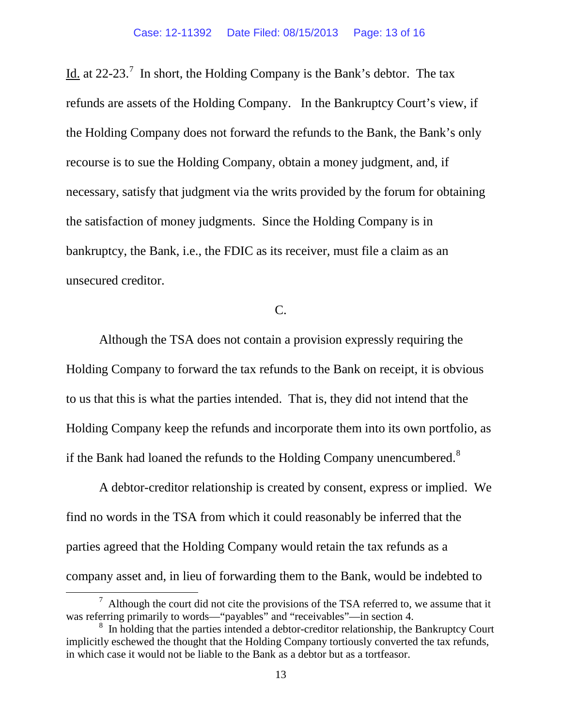Id. at 22-23.<sup>[7](#page-12-0)</sup> In short, the Holding Company is the Bank's debtor. The tax refunds are assets of the Holding Company. In the Bankruptcy Court's view, if the Holding Company does not forward the refunds to the Bank, the Bank's only recourse is to sue the Holding Company, obtain a money judgment, and, if necessary, satisfy that judgment via the writs provided by the forum for obtaining the satisfaction of money judgments. Since the Holding Company is in bankruptcy, the Bank, i.e., the FDIC as its receiver, must file a claim as an unsecured creditor.

### $C_{\cdot}$

Although the TSA does not contain a provision expressly requiring the Holding Company to forward the tax refunds to the Bank on receipt, it is obvious to us that this is what the parties intended. That is, they did not intend that the Holding Company keep the refunds and incorporate them into its own portfolio, as if the Bank had loaned the refunds to the Holding Company unencumbered.<sup>[8](#page-12-1)</sup>

A debtor-creditor relationship is created by consent, express or implied. We find no words in the TSA from which it could reasonably be inferred that the parties agreed that the Holding Company would retain the tax refunds as a company asset and, in lieu of forwarding them to the Bank, would be indebted to

<span id="page-12-0"></span><sup>7</sup>  $\frac{7}{1}$  Although the court did not cite the provisions of the TSA referred to, we assume that it was referring primarily to words—"payables" and "receivables"—in section 4.

<span id="page-12-1"></span><sup>&</sup>lt;sup>8</sup> In holding that the parties intended a debtor-creditor relationship, the Bankruptcy Court implicitly eschewed the thought that the Holding Company tortiously converted the tax refunds, in which case it would not be liable to the Bank as a debtor but as a tortfeasor.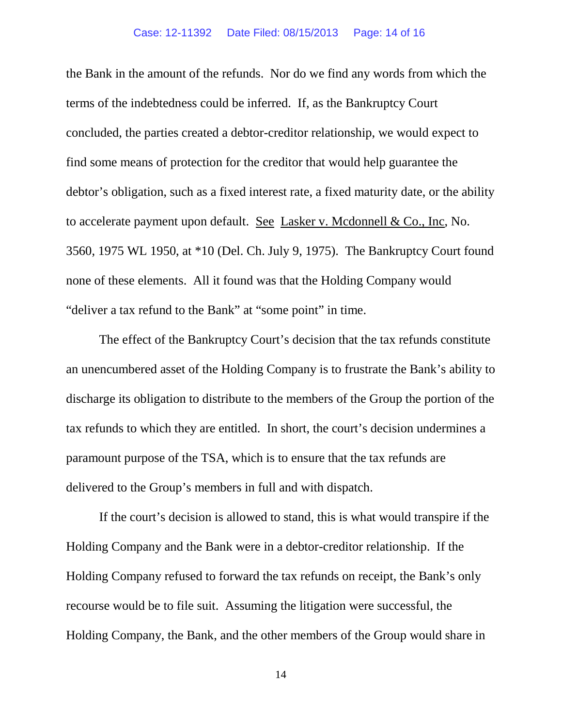### Case: 12-11392 Date Filed: 08/15/2013 Page: 14 of 16

the Bank in the amount of the refunds. Nor do we find any words from which the terms of the indebtedness could be inferred. If, as the Bankruptcy Court concluded, the parties created a debtor-creditor relationship, we would expect to find some means of protection for the creditor that would help guarantee the debtor's obligation, such as a fixed interest rate, a fixed maturity date, or the ability to accelerate payment upon default. See Lasker v. Mcdonnell & Co., Inc, No. 3560, 1975 WL 1950, at \*10 (Del. Ch. July 9, 1975). The Bankruptcy Court found none of these elements. All it found was that the Holding Company would "deliver a tax refund to the Bank" at "some point" in time.

The effect of the Bankruptcy Court's decision that the tax refunds constitute an unencumbered asset of the Holding Company is to frustrate the Bank's ability to discharge its obligation to distribute to the members of the Group the portion of the tax refunds to which they are entitled. In short, the court's decision undermines a paramount purpose of the TSA, which is to ensure that the tax refunds are delivered to the Group's members in full and with dispatch.

If the court's decision is allowed to stand, this is what would transpire if the Holding Company and the Bank were in a debtor-creditor relationship. If the Holding Company refused to forward the tax refunds on receipt, the Bank's only recourse would be to file suit. Assuming the litigation were successful, the Holding Company, the Bank, and the other members of the Group would share in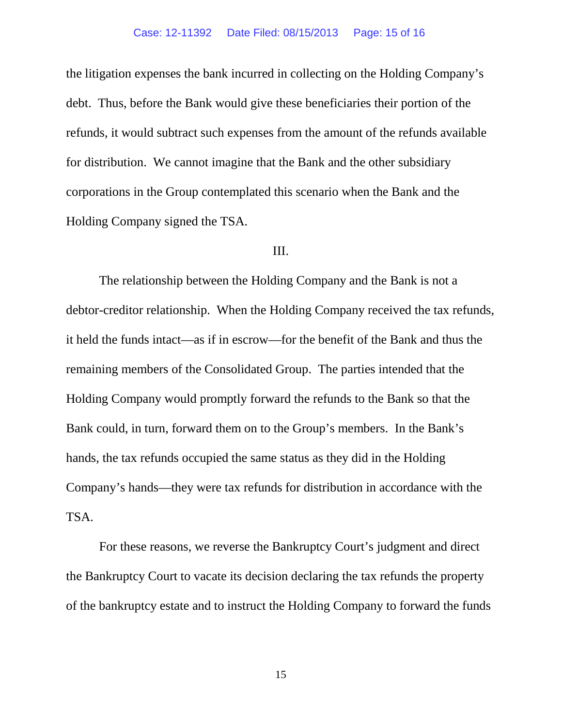the litigation expenses the bank incurred in collecting on the Holding Company's debt. Thus, before the Bank would give these beneficiaries their portion of the refunds, it would subtract such expenses from the amount of the refunds available for distribution. We cannot imagine that the Bank and the other subsidiary corporations in the Group contemplated this scenario when the Bank and the Holding Company signed the TSA.

### III.

The relationship between the Holding Company and the Bank is not a debtor-creditor relationship. When the Holding Company received the tax refunds, it held the funds intact—as if in escrow—for the benefit of the Bank and thus the remaining members of the Consolidated Group. The parties intended that the Holding Company would promptly forward the refunds to the Bank so that the Bank could, in turn, forward them on to the Group's members. In the Bank's hands, the tax refunds occupied the same status as they did in the Holding Company's hands—they were tax refunds for distribution in accordance with the TSA.

For these reasons, we reverse the Bankruptcy Court's judgment and direct the Bankruptcy Court to vacate its decision declaring the tax refunds the property of the bankruptcy estate and to instruct the Holding Company to forward the funds